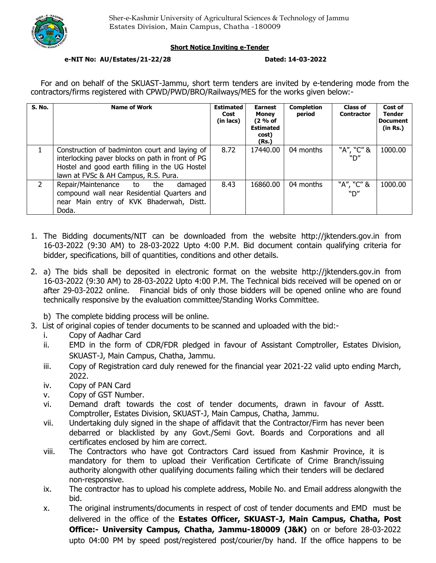

## **Short Notice Inviting e-Tender**

## **e-NIT No: AU/Estates/21-22/28 Dated: 14-03-2022**

For and on behalf of the SKUAST-Jammu, short term tenders are invited by e-tendering mode from the contractors/firms registered with CPWD/PWD/BRO/Railways/MES for the works given below:-

| <b>S. No.</b>  | <b>Name of Work</b>                                                                                                                                                                         | <b>Estimated</b><br>Cost<br>(in lacs) | <b>Earnest</b><br>Money<br>(2 % of<br><b>Estimated</b><br>cost)<br>(Rs.) | <b>Completion</b><br>period | <b>Class of</b><br><b>Contractor</b> | Cost of<br><b>Tender</b><br><b>Document</b><br>(in Rs.) |
|----------------|---------------------------------------------------------------------------------------------------------------------------------------------------------------------------------------------|---------------------------------------|--------------------------------------------------------------------------|-----------------------------|--------------------------------------|---------------------------------------------------------|
|                | Construction of badminton court and laying of<br>interlocking paver blocks on path in front of PG<br>Hostel and good earth filling in the UG Hostel<br>lawn at FVSc & AH Campus, R.S. Pura. | 8.72                                  | 17440.00                                                                 | 04 months                   | "A", "C" &<br>״ח"                    | 1000.00                                                 |
| $\overline{2}$ | Repair/Maintenance to the<br>damaged<br>compound wall near Residential Quarters and<br>near Main entry of KVK Bhaderwah, Distt.<br>Doda.                                                    | 8.43                                  | 16860.00                                                                 | 04 months                   | "A", "C" &<br>"ח"                    | 1000.00                                                 |

- 1. The Bidding documents/NIT can be downloaded from the website http://jktenders.gov.in from 16-03-2022 (9:30 AM) to 28-03-2022 Upto 4:00 P.M. Bid document contain qualifying criteria for bidder, specifications, bill of quantities, conditions and other details.
- 2. a) The bids shall be deposited in electronic format on the website http://jktenders.gov.in from 16-03-2022 (9:30 AM) to 28-03-2022 Upto 4:00 P.M. The Technical bids received will be opened on or after 29-03-2022 online. Financial bids of only those bidders will be opened online who are found technically responsive by the evaluation committee/Standing Works Committee.

b) The complete bidding process will be online.

- 3. List of original copies of tender documents to be scanned and uploaded with the bid:
	- i. Copy of Aadhar Card
	- ii. EMD in the form of CDR/FDR pledged in favour of Assistant Comptroller, Estates Division, SKUAST-J, Main Campus, Chatha, Jammu.
	- iii. Copy of Registration card duly renewed for the financial year 2021-22 valid upto ending March, 2022.
	- iv. Copy of PAN Card
	- v. Copy of GST Number.
	- vi. Demand draft towards the cost of tender documents, drawn in favour of Asstt. Comptroller, Estates Division, SKUAST-J, Main Campus, Chatha, Jammu.
	- vii. Undertaking duly signed in the shape of affidavit that the Contractor/Firm has never been debarred or blacklisted by any Govt./Semi Govt. Boards and Corporations and all certificates enclosed by him are correct.
	- viii. The Contractors who have got Contractors Card issued from Kashmir Province, it is mandatory for them to upload their Verification Certificate of Crime Branch/issuing authority alongwith other qualifying documents failing which their tenders will be declared non-responsive.
	- ix. The contractor has to upload his complete address, Mobile No. and Email address alongwith the bid.
	- x. The original instruments/documents in respect of cost of tender documents and EMD must be delivered in the office of the **Estates Officer, SKUAST-J, Main Campus, Chatha, Post Office:- University Campus, Chatha, Jammu-180009 (J&K)** on or before 28-03-2022 upto 04:00 PM by speed post/registered post/courier/by hand. If the office happens to be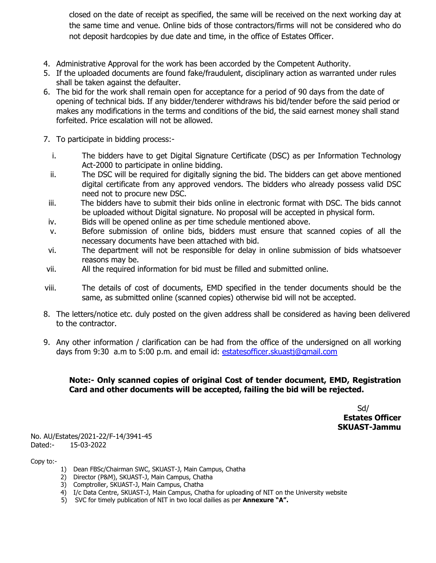closed on the date of receipt as specified, the same will be received on the next working day at the same time and venue. Online bids of those contractors/firms will not be considered who do not deposit hardcopies by due date and time, in the office of Estates Officer.

- 4. Administrative Approval for the work has been accorded by the Competent Authority.
- 5. If the uploaded documents are found fake/fraudulent, disciplinary action as warranted under rules shall be taken against the defaulter.
- 6. The bid for the work shall remain open for acceptance for a period of 90 days from the date of opening of technical bids. If any bidder/tenderer withdraws his bid/tender before the said period or makes any modifications in the terms and conditions of the bid, the said earnest money shall stand forfeited. Price escalation will not be allowed.
- 7. To participate in bidding process:
	- i. The bidders have to get Digital Signature Certificate (DSC) as per Information Technology Act-2000 to participate in online bidding.
	- ii. The DSC will be required for digitally signing the bid. The bidders can get above mentioned digital certificate from any approved vendors. The bidders who already possess valid DSC need not to procure new DSC.
	- iii. The bidders have to submit their bids online in electronic format with DSC. The bids cannot be uploaded without Digital signature. No proposal will be accepted in physical form.
	- iv. Bids will be opened online as per time schedule mentioned above.
	- v. Before submission of online bids, bidders must ensure that scanned copies of all the necessary documents have been attached with bid.
	- vi. The department will not be responsible for delay in online submission of bids whatsoever reasons may be.
- vii. All the required information for bid must be filled and submitted online.
- viii. The details of cost of documents, EMD specified in the tender documents should be the same, as submitted online (scanned copies) otherwise bid will not be accepted.
- 8. The letters/notice etc. duly posted on the given address shall be considered as having been delivered to the contractor.
- 9. Any other information / clarification can be had from the office of the undersigned on all working days from 9:30 a.m to 5:00 p.m. and email id: estatesofficer.skuastj@gmail.com

# **Note:- Only scanned copies of original Cost of tender document, EMD, Registration Card and other documents will be accepted, failing the bid will be rejected.**

Sd/ **Estates Officer SKUAST-Jammu** 

No. AU/Estates/2021-22/F-14/3941-45 Dated:- 15-03-2022

Copy to:-

- 1) Dean FBSc/Chairman SWC, SKUAST-J, Main Campus, Chatha
- 2) Director (P&M), SKUAST-J, Main Campus, Chatha
- 3) Comptroller, SKUAST-J, Main Campus, Chatha
- 4) I/c Data Centre, SKUAST-J, Main Campus, Chatha for uploading of NIT on the University website
- 5) SVC for timely publication of NIT in two local dailies as per **Annexure "A".**